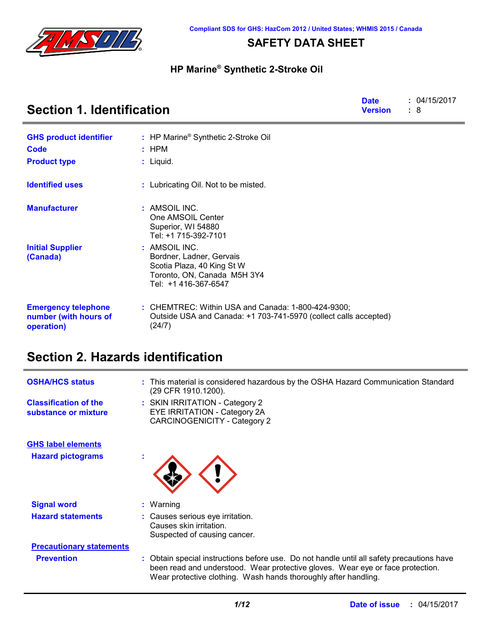

## **SAFETY DATA SHEET**

### **HP Marine® Synthetic 2-Stroke Oil**

| <b>Section 1. Identification</b>                                  |                                                                                                                                  |  | : 04/15/2017<br>: 8 |
|-------------------------------------------------------------------|----------------------------------------------------------------------------------------------------------------------------------|--|---------------------|
| <b>GHS product identifier</b>                                     | : HP Marine <sup>®</sup> Synthetic 2-Stroke Oil                                                                                  |  |                     |
| Code                                                              | $:$ HPM                                                                                                                          |  |                     |
| <b>Product type</b>                                               | $:$ Liquid.                                                                                                                      |  |                     |
| <b>Identified uses</b>                                            | : Lubricating Oil. Not to be misted.                                                                                             |  |                     |
| <b>Manufacturer</b>                                               | : AMSOIL INC.<br>One AMSOIL Center<br>Superior, WI 54880<br>Tel: +1 715-392-7101                                                 |  |                     |
| <b>Initial Supplier</b><br>(Canada)                               | : AMSOIL INC.<br>Bordner, Ladner, Gervais<br>Scotia Plaza, 40 King St W<br>Toronto, ON, Canada M5H 3Y4<br>Tel: +1 416-367-6547   |  |                     |
| <b>Emergency telephone</b><br>number (with hours of<br>operation) | : CHEMTREC: Within USA and Canada: 1-800-424-9300;<br>Outside USA and Canada: +1 703-741-5970 (collect calls accepted)<br>(24/7) |  |                     |

# **Section 2. Hazards identification**

| <b>OSHA/HCS status</b>                               | : This material is considered hazardous by the OSHA Hazard Communication Standard<br>(29 CFR 1910.1200).                                                                                                                                       |
|------------------------------------------------------|------------------------------------------------------------------------------------------------------------------------------------------------------------------------------------------------------------------------------------------------|
| <b>Classification of the</b><br>substance or mixture | : SKIN IRRITATION - Category 2<br>EYE IRRITATION - Category 2A<br><b>CARCINOGENICITY - Category 2</b>                                                                                                                                          |
| <b>GHS label elements</b>                            |                                                                                                                                                                                                                                                |
| <b>Hazard pictograms</b>                             |                                                                                                                                                                                                                                                |
| <b>Signal word</b>                                   | $:$ Warning                                                                                                                                                                                                                                    |
| <b>Hazard statements</b>                             | : Causes serious eye irritation.<br>Causes skin irritation.<br>Suspected of causing cancer.                                                                                                                                                    |
| <b>Precautionary statements</b>                      |                                                                                                                                                                                                                                                |
| <b>Prevention</b>                                    | : Obtain special instructions before use. Do not handle until all safety precautions have<br>been read and understood. Wear protective gloves. Wear eye or face protection.<br>Wear protective clothing. Wash hands thoroughly after handling. |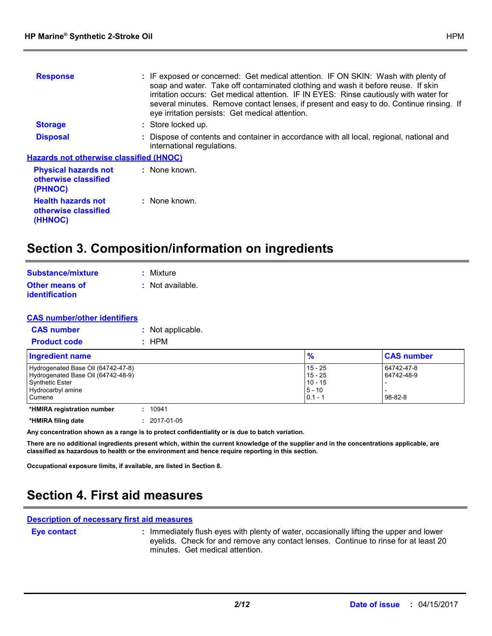| <b>Response</b>                                                | : IF exposed or concerned: Get medical attention. IF ON SKIN: Wash with plenty of<br>soap and water. Take off contaminated clothing and wash it before reuse. If skin<br>irritation occurs: Get medical attention. IF IN EYES: Rinse cautiously with water for<br>several minutes. Remove contact lenses, if present and easy to do. Continue rinsing. If<br>eye irritation persists: Get medical attention. |
|----------------------------------------------------------------|--------------------------------------------------------------------------------------------------------------------------------------------------------------------------------------------------------------------------------------------------------------------------------------------------------------------------------------------------------------------------------------------------------------|
| <b>Storage</b>                                                 | : Store locked up.                                                                                                                                                                                                                                                                                                                                                                                           |
| <b>Disposal</b>                                                | : Dispose of contents and container in accordance with all local, regional, national and<br>international regulations.                                                                                                                                                                                                                                                                                       |
| <b>Hazards not otherwise classified (HNOC)</b>                 |                                                                                                                                                                                                                                                                                                                                                                                                              |
| <b>Physical hazards not</b><br>otherwise classified<br>(PHNOC) | : None known.                                                                                                                                                                                                                                                                                                                                                                                                |
| <b>Health hazards not</b><br>otherwise classified              | : None known.                                                                                                                                                                                                                                                                                                                                                                                                |

# **Section 3. Composition/information on ingredients**

| Substance/mixture     | : Mixture          |
|-----------------------|--------------------|
| <b>Other means of</b> | $:$ Not available. |
| <i>identification</i> |                    |

| <b>CAS number/other identifiers</b> |                   |
|-------------------------------------|-------------------|
| <b>CAS number</b>                   | : Not applicable. |
| <b>Product code</b>                 | : HPM             |

| Ingredient name                                                                                                            | $\frac{9}{6}$                                              | <b>CAS number</b>                         |
|----------------------------------------------------------------------------------------------------------------------------|------------------------------------------------------------|-------------------------------------------|
| Hydrogenated Base Oil (64742-47-8)<br>Hydrogenated Base Oil (64742-48-9)<br>Synthetic Ester<br>Hydrocarbyl amine<br>Cumene | 15 - 25<br>$15 - 25$<br>$10 - 15$<br>$5 - 10$<br>$0.1 - 1$ | 64742-47-8<br>64742-48-9<br>$98 - 82 - 8$ |
| 10941<br>*HMIRA registration number                                                                                        |                                                            |                                           |

**\*HMIRA filing date :** 2017-01-05

**(HHNOC)**

**Any concentration shown as a range is to protect confidentiality or is due to batch variation.**

**There are no additional ingredients present which, within the current knowledge of the supplier and in the concentrations applicable, are classified as hazardous to health or the environment and hence require reporting in this section.**

**Occupational exposure limits, if available, are listed in Section 8.**

# **Section 4. First aid measures**

#### **Description of necessary first aid measures**

**Eye contact :**

: Immediately flush eyes with plenty of water, occasionally lifting the upper and lower eyelids. Check for and remove any contact lenses. Continue to rinse for at least 20 minutes. Get medical attention.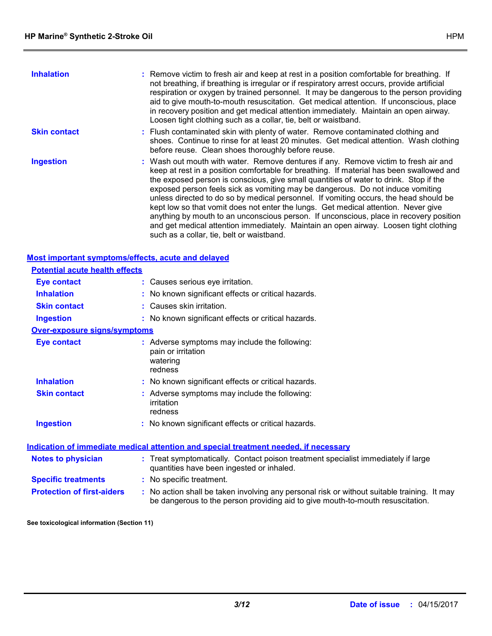| <b>Inhalation</b>   | : Remove victim to fresh air and keep at rest in a position comfortable for breathing. If<br>not breathing, if breathing is irregular or if respiratory arrest occurs, provide artificial<br>respiration or oxygen by trained personnel. It may be dangerous to the person providing<br>aid to give mouth-to-mouth resuscitation. Get medical attention. If unconscious, place<br>in recovery position and get medical attention immediately. Maintain an open airway.<br>Loosen tight clothing such as a collar, tie, belt or waistband.                                                                                                                                                                                                                                 |
|---------------------|---------------------------------------------------------------------------------------------------------------------------------------------------------------------------------------------------------------------------------------------------------------------------------------------------------------------------------------------------------------------------------------------------------------------------------------------------------------------------------------------------------------------------------------------------------------------------------------------------------------------------------------------------------------------------------------------------------------------------------------------------------------------------|
| <b>Skin contact</b> | : Flush contaminated skin with plenty of water. Remove contaminated clothing and<br>shoes. Continue to rinse for at least 20 minutes. Get medical attention. Wash clothing<br>before reuse. Clean shoes thoroughly before reuse.                                                                                                                                                                                                                                                                                                                                                                                                                                                                                                                                          |
| <b>Ingestion</b>    | : Wash out mouth with water. Remove dentures if any. Remove victim to fresh air and<br>keep at rest in a position comfortable for breathing. If material has been swallowed and<br>the exposed person is conscious, give small quantities of water to drink. Stop if the<br>exposed person feels sick as vomiting may be dangerous. Do not induce vomiting<br>unless directed to do so by medical personnel. If vomiting occurs, the head should be<br>kept low so that vomit does not enter the lungs. Get medical attention. Never give<br>anything by mouth to an unconscious person. If unconscious, place in recovery position<br>and get medical attention immediately. Maintain an open airway. Loosen tight clothing<br>such as a collar, tie, belt or waistband. |

|                                       | Most important symptoms/effects, acute and delayed                                                                             |
|---------------------------------------|--------------------------------------------------------------------------------------------------------------------------------|
| <b>Potential acute health effects</b> |                                                                                                                                |
| <b>Eye contact</b>                    | : Causes serious eye irritation.                                                                                               |
| <b>Inhalation</b>                     | : No known significant effects or critical hazards.                                                                            |
| <b>Skin contact</b>                   | : Causes skin irritation.                                                                                                      |
| <b>Ingestion</b>                      | : No known significant effects or critical hazards.                                                                            |
| <b>Over-exposure signs/symptoms</b>   |                                                                                                                                |
| <b>Eye contact</b>                    | : Adverse symptoms may include the following:<br>pain or irritation<br>watering<br>redness                                     |
| <b>Inhalation</b>                     | : No known significant effects or critical hazards.                                                                            |
| <b>Skin contact</b>                   | : Adverse symptoms may include the following:<br>irritation<br>redness                                                         |
| <b>Ingestion</b>                      | : No known significant effects or critical hazards.                                                                            |
|                                       | <u>Indication of immediate medical attention and special treatment needed, if necessary</u>                                    |
| <b>Notes to physician</b>             | : Treat symptomatically. Contact poison treatment specialist immediately if large<br>quantities have been ingested or inhaled. |
| <b>Specific treatments</b>            | : No specific treatment.                                                                                                       |

**Protection of first-aiders** : No action shall be taken involving any personal risk or without suitable training. It may be dangerous to the person providing aid to give mouth-to-mouth resuscitation.

**See toxicological information (Section 11)**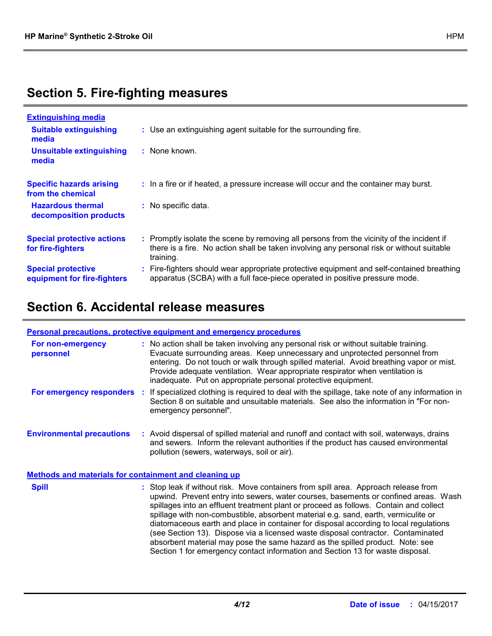# **Section 5. Fire-fighting measures**

| <b>Extinguishing media</b>                               |                                                                                                                                                                                                     |
|----------------------------------------------------------|-----------------------------------------------------------------------------------------------------------------------------------------------------------------------------------------------------|
| <b>Suitable extinguishing</b><br>media                   | : Use an extinguishing agent suitable for the surrounding fire.                                                                                                                                     |
| <b>Unsuitable extinguishing</b><br>media                 | : None known.                                                                                                                                                                                       |
| <b>Specific hazards arising</b><br>from the chemical     | : In a fire or if heated, a pressure increase will occur and the container may burst.                                                                                                               |
| <b>Hazardous thermal</b><br>decomposition products       | : No specific data.                                                                                                                                                                                 |
| <b>Special protective actions</b><br>for fire-fighters   | : Promptly isolate the scene by removing all persons from the vicinity of the incident if<br>there is a fire. No action shall be taken involving any personal risk or without suitable<br>training. |
| <b>Special protective</b><br>equipment for fire-fighters | Fire-fighters should wear appropriate protective equipment and self-contained breathing<br>apparatus (SCBA) with a full face-piece operated in positive pressure mode.                              |

# **Section 6. Accidental release measures**

|                                                              | Personal precautions, protective equipment and emergency procedures                                                                                                                                                                                                                                                                                                                                                                                                                                                                                                                                                     |
|--------------------------------------------------------------|-------------------------------------------------------------------------------------------------------------------------------------------------------------------------------------------------------------------------------------------------------------------------------------------------------------------------------------------------------------------------------------------------------------------------------------------------------------------------------------------------------------------------------------------------------------------------------------------------------------------------|
| For non-emergency<br>personnel                               | : No action shall be taken involving any personal risk or without suitable training.<br>Evacuate surrounding areas. Keep unnecessary and unprotected personnel from<br>entering. Do not touch or walk through spilled material. Avoid breathing vapor or mist.<br>Provide adequate ventilation. Wear appropriate respirator when ventilation is<br>inadequate. Put on appropriate personal protective equipment.                                                                                                                                                                                                        |
| For emergency responders                                     | : If specialized clothing is required to deal with the spillage, take note of any information in<br>Section 8 on suitable and unsuitable materials. See also the information in "For non-<br>emergency personnel".                                                                                                                                                                                                                                                                                                                                                                                                      |
| <b>Environmental precautions</b>                             | : Avoid dispersal of spilled material and runoff and contact with soil, waterways, drains<br>and sewers. Inform the relevant authorities if the product has caused environmental<br>pollution (sewers, waterways, soil or air).                                                                                                                                                                                                                                                                                                                                                                                         |
| <b>Methods and materials for containment and cleaning up</b> |                                                                                                                                                                                                                                                                                                                                                                                                                                                                                                                                                                                                                         |
| <b>Spill</b>                                                 | : Stop leak if without risk. Move containers from spill area. Approach release from<br>upwind. Prevent entry into sewers, water courses, basements or confined areas. Wash<br>spillages into an effluent treatment plant or proceed as follows. Contain and collect<br>spillage with non-combustible, absorbent material e.g. sand, earth, vermiculite or<br>diatomaceous earth and place in container for disposal according to local regulations<br>(see Section 13). Dispose via a licensed waste disposal contractor. Contaminated<br>absorbent material may pose the same hazard as the spilled product. Note: see |

Section 1 for emergency contact information and Section 13 for waste disposal.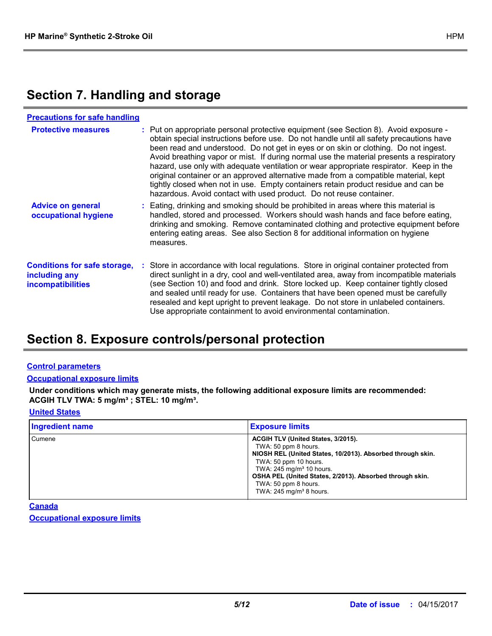# **Section 7. Handling and storage**

| <b>Precautions for safe handling</b>                                             |                                                                                                                                                                                                                                                                                                                                                                                                                                                                                                                                                                                                                                                                                                                 |
|----------------------------------------------------------------------------------|-----------------------------------------------------------------------------------------------------------------------------------------------------------------------------------------------------------------------------------------------------------------------------------------------------------------------------------------------------------------------------------------------------------------------------------------------------------------------------------------------------------------------------------------------------------------------------------------------------------------------------------------------------------------------------------------------------------------|
| <b>Protective measures</b>                                                       | : Put on appropriate personal protective equipment (see Section 8). Avoid exposure -<br>obtain special instructions before use. Do not handle until all safety precautions have<br>been read and understood. Do not get in eyes or on skin or clothing. Do not ingest.<br>Avoid breathing vapor or mist. If during normal use the material presents a respiratory<br>hazard, use only with adequate ventilation or wear appropriate respirator. Keep in the<br>original container or an approved alternative made from a compatible material, kept<br>tightly closed when not in use. Empty containers retain product residue and can be<br>hazardous. Avoid contact with used product. Do not reuse container. |
| <b>Advice on general</b><br>occupational hygiene                                 | : Eating, drinking and smoking should be prohibited in areas where this material is<br>handled, stored and processed. Workers should wash hands and face before eating,<br>drinking and smoking. Remove contaminated clothing and protective equipment before<br>entering eating areas. See also Section 8 for additional information on hygiene<br>measures.                                                                                                                                                                                                                                                                                                                                                   |
| <b>Conditions for safe storage,</b><br>including any<br><i>incompatibilities</i> | : Store in accordance with local regulations. Store in original container protected from<br>direct sunlight in a dry, cool and well-ventilated area, away from incompatible materials<br>(see Section 10) and food and drink. Store locked up. Keep container tightly closed<br>and sealed until ready for use. Containers that have been opened must be carefully<br>resealed and kept upright to prevent leakage. Do not store in unlabeled containers.<br>Use appropriate containment to avoid environmental contamination.                                                                                                                                                                                  |

## **Section 8. Exposure controls/personal protection**

### **Control parameters**

#### **Occupational exposure limits**

**Under conditions which may generate mists, the following additional exposure limits are recommended: ACGIH TLV TWA: 5 mg/m³ ; STEL: 10 mg/m³.**

### **United States**

| <b>Ingredient name</b> | <b>Exposure limits</b>                                                                                                                                                                                                                                                                                                   |
|------------------------|--------------------------------------------------------------------------------------------------------------------------------------------------------------------------------------------------------------------------------------------------------------------------------------------------------------------------|
| Cumene                 | ACGIH TLV (United States, 3/2015).<br>TWA: 50 ppm 8 hours.<br>NIOSH REL (United States, 10/2013). Absorbed through skin.<br>TWA: 50 ppm 10 hours.<br>TWA: $245$ mg/m <sup>3</sup> 10 hours.<br>OSHA PEL (United States, 2/2013). Absorbed through skin.<br>TWA: 50 ppm 8 hours.<br>TWA: $245$ mg/m <sup>3</sup> 8 hours. |

**Canada**

**Occupational exposure limits**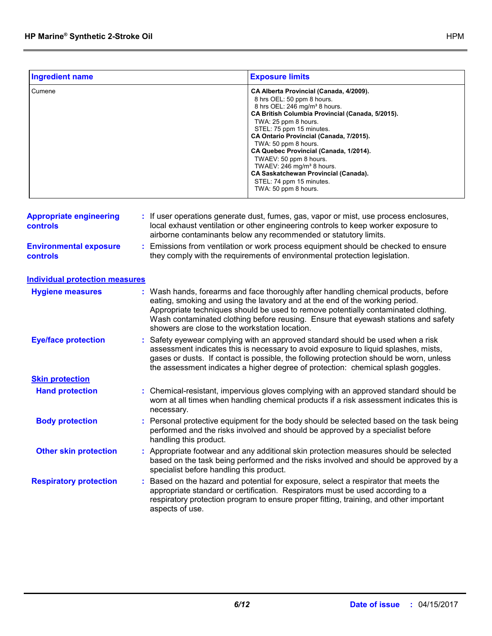| <b>Ingredient name</b>                     | <b>Exposure limits</b>                                                                                                                                                                                                                                                                                                                                                                                                                                                                                        |  |  |
|--------------------------------------------|---------------------------------------------------------------------------------------------------------------------------------------------------------------------------------------------------------------------------------------------------------------------------------------------------------------------------------------------------------------------------------------------------------------------------------------------------------------------------------------------------------------|--|--|
| Cumene                                     | CA Alberta Provincial (Canada, 4/2009).<br>8 hrs OEL: 50 ppm 8 hours.<br>8 hrs OEL: 246 mg/m <sup>3</sup> 8 hours.<br>CA British Columbia Provincial (Canada, 5/2015).<br>TWA: 25 ppm 8 hours.<br>STEL: 75 ppm 15 minutes.<br>CA Ontario Provincial (Canada, 7/2015).<br>TWA: 50 ppm 8 hours.<br>CA Quebec Provincial (Canada, 1/2014).<br>TWAEV: 50 ppm 8 hours.<br>TWAEV: 246 mg/m <sup>3</sup> 8 hours.<br><b>CA Saskatchewan Provincial (Canada).</b><br>STEL: 74 ppm 15 minutes.<br>TWA: 50 ppm 8 hours. |  |  |
| <b>Appropriate engineering</b><br>controls | : If user operations generate dust, fumes, gas, vapor or mist, use process enclosures,<br>local exhaust ventilation or other engineering controls to keep worker exposure to<br>airborne contaminants below any recommended or statutory limits.                                                                                                                                                                                                                                                              |  |  |
| <b>Environmental exposure</b><br>controls  | : Emissions from ventilation or work process equipment should be checked to ensure<br>they comply with the requirements of environmental protection legislation.                                                                                                                                                                                                                                                                                                                                              |  |  |
| <b>Individual protection measures</b>      |                                                                                                                                                                                                                                                                                                                                                                                                                                                                                                               |  |  |
| <b>Hygiene measures</b>                    | : Wash hands, forearms and face thoroughly after handling chemical products, before<br>eating, smoking and using the lavatory and at the end of the working period.<br>Appropriate techniques should be used to remove potentially contaminated clothing.<br>Wash contaminated clothing before reusing. Ensure that eyewash stations and safety<br>showers are close to the workstation location.                                                                                                             |  |  |
| <b>Eye/face protection</b>                 | : Safety eyewear complying with an approved standard should be used when a risk<br>assessment indicates this is necessary to avoid exposure to liquid splashes, mists,<br>gases or dusts. If contact is possible, the following protection should be worn, unless<br>the assessment indicates a higher degree of protection: chemical splash goggles.                                                                                                                                                         |  |  |
| <b>Skin protection</b>                     |                                                                                                                                                                                                                                                                                                                                                                                                                                                                                                               |  |  |
| <b>Hand protection</b>                     | : Chemical-resistant, impervious gloves complying with an approved standard should be<br>worn at all times when handling chemical products if a risk assessment indicates this is<br>necessary.                                                                                                                                                                                                                                                                                                               |  |  |
| <b>Body protection</b>                     | : Personal protective equipment for the body should be selected based on the task being<br>performed and the risks involved and should be approved by a specialist before<br>handling this product.                                                                                                                                                                                                                                                                                                           |  |  |
| <b>Other skin protection</b>               | : Appropriate footwear and any additional skin protection measures should be selected<br>based on the task being performed and the risks involved and should be approved by a<br>specialist before handling this product.                                                                                                                                                                                                                                                                                     |  |  |
| <b>Respiratory protection</b>              | : Based on the hazard and potential for exposure, select a respirator that meets the<br>appropriate standard or certification. Respirators must be used according to a<br>respiratory protection program to ensure proper fitting, training, and other important<br>aspects of use.                                                                                                                                                                                                                           |  |  |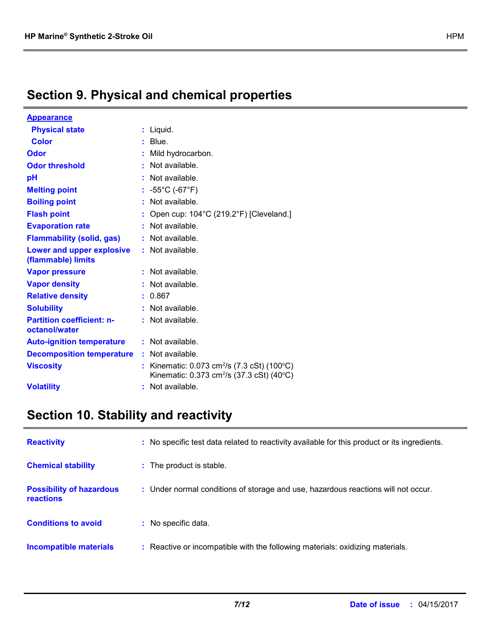# **Section 9. Physical and chemical properties**

| <u>Appearance</u>                                      |    |                                                                                                                     |
|--------------------------------------------------------|----|---------------------------------------------------------------------------------------------------------------------|
| <b>Physical state</b>                                  | t  | Liquid.                                                                                                             |
| <b>Color</b>                                           |    | Blue.                                                                                                               |
| <b>Odor</b>                                            |    | Mild hydrocarbon.                                                                                                   |
| <b>Odor threshold</b>                                  | ٠  | Not available.                                                                                                      |
| рH                                                     |    | Not available.                                                                                                      |
| <b>Melting point</b>                                   |    | $-55^{\circ}$ C (-67 $^{\circ}$ F)                                                                                  |
| <b>Boiling point</b>                                   | t. | Not available.                                                                                                      |
| <b>Flash point</b>                                     | t  | Open cup: 104°C (219.2°F) [Cleveland.]                                                                              |
| <b>Evaporation rate</b>                                |    | Not available.                                                                                                      |
| <b>Flammability (solid, gas)</b>                       | t  | Not available.                                                                                                      |
| <b>Lower and upper explosive</b><br>(flammable) limits |    | : Not available.                                                                                                    |
| <b>Vapor pressure</b>                                  |    | Not available.                                                                                                      |
| <b>Vapor density</b>                                   |    | Not available.                                                                                                      |
| <b>Relative density</b>                                |    | 0.867                                                                                                               |
| <b>Solubility</b>                                      |    | Not available.                                                                                                      |
| <b>Partition coefficient: n-</b><br>octanol/water      |    | : Not available.                                                                                                    |
| <b>Auto-ignition temperature</b>                       |    | : Not available.                                                                                                    |
| <b>Decomposition temperature</b>                       |    | : Not available.                                                                                                    |
| <b>Viscosity</b>                                       | t  | Kinematic: 0.073 cm <sup>2</sup> /s (7.3 cSt) (100°C)<br>Kinematic: $0.373 \text{ cm}^2/\text{s}$ (37.3 cSt) (40°C) |
| <b>Volatility</b>                                      |    | Not available.                                                                                                      |

# **Section 10. Stability and reactivity**

| <b>Reactivity</b>                            | : No specific test data related to reactivity available for this product or its ingredients. |
|----------------------------------------------|----------------------------------------------------------------------------------------------|
| <b>Chemical stability</b>                    | : The product is stable.                                                                     |
| <b>Possibility of hazardous</b><br>reactions | : Under normal conditions of storage and use, hazardous reactions will not occur.            |
| <b>Conditions to avoid</b>                   | : No specific data.                                                                          |
| Incompatible materials                       | : Reactive or incompatible with the following materials: oxidizing materials.                |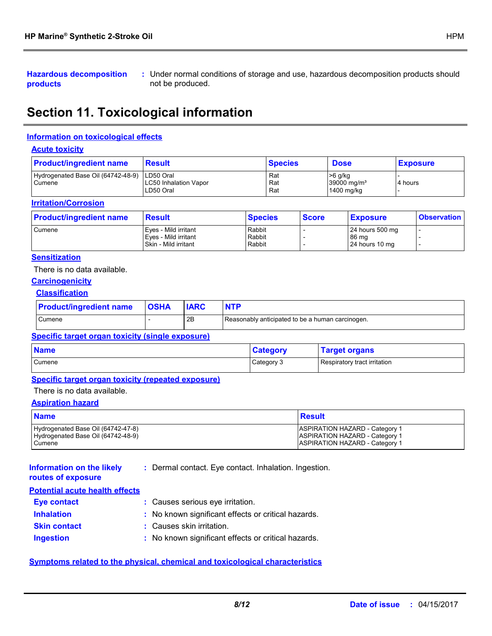**Hazardous decomposition products**

Under normal conditions of storage and use, hazardous decomposition products should **:** not be produced.

# **Section 11. Toxicological information**

### **Information on toxicological effects**

#### **Acute toxicity**

| <b>Product/ingredient name</b>               | <b>Result</b>                                          | <b>Species</b>    | <b>Dose</b>                                          | <b>Exposure</b> |
|----------------------------------------------|--------------------------------------------------------|-------------------|------------------------------------------------------|-----------------|
| Hydrogenated Base Oil (64742-48-9)<br>Cumene | LD50 Oral<br><b>LC50 Inhalation Vapor</b><br>LD50 Oral | Rat<br>Rat<br>Rat | $>6$ g/kg<br>$39000$ ma/m <sup>3</sup><br>1400 mg/kg | 4 hours         |

#### **Irritation/Corrosion**

| <b>Product/ingredient name</b> | <b>Result</b>          | <b>Species</b> | <b>Score</b> | <b>Exposure</b> | <b>Observation</b> |
|--------------------------------|------------------------|----------------|--------------|-----------------|--------------------|
| Cumene                         | l Eves - Mild irritant | Rabbit         |              | 24 hours 500 mg |                    |
|                                | Eyes - Mild irritant   | Rabbit         |              | 86 mg           |                    |
|                                | Skin - Mild irritant   | Rabbit         |              | 24 hours 10 mg  |                    |

### **Sensitization**

There is no data available.

#### **Carcinogenicity**

### **Classification**

| <b>Product/ingredient name</b> | <b>OSHA</b> |    | <b>NTP</b>                                       |
|--------------------------------|-------------|----|--------------------------------------------------|
| Cumene                         |             | 2B | Reasonably anticipated to be a human carcinogen. |

### **Specific target organ toxicity (single exposure)**

| <b>Name</b> | <b>Category</b> | <b>Target organs</b>         |
|-------------|-----------------|------------------------------|
| Cumene      | Category 3      | Respiratory tract irritation |

#### **Specific target organ toxicity (repeated exposure)**

There is no data available.

### **Aspiration hazard**

| <b>Name</b>                        | Result                                |
|------------------------------------|---------------------------------------|
| Hydrogenated Base Oil (64742-47-8) | <b>ASPIRATION HAZARD - Category 1</b> |
| Hydrogenated Base Oil (64742-48-9) | <b>ASPIRATION HAZARD - Category 1</b> |
| Cumene                             | <b>ASPIRATION HAZARD - Category 1</b> |

**Information on the likely :** Dermal contact. Eye contact. Inhalation. Ingestion.

**routes of exposure**

| <b>Potential acute health effects</b> |  |  |  |
|---------------------------------------|--|--|--|

| : Causes serious eye irritation.                    |
|-----------------------------------------------------|
| : No known significant effects or critical hazards. |
| : Causes skin irritation.                           |
| : No known significant effects or critical hazards. |
|                                                     |

### **Symptoms related to the physical, chemical and toxicological characteristics**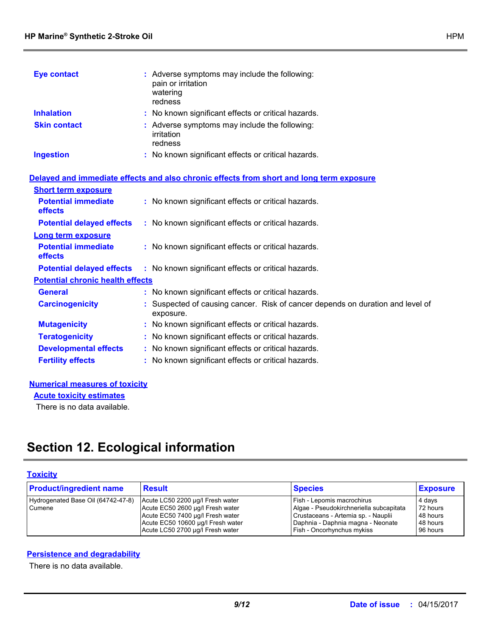| <b>Eye contact</b>  | : Adverse symptoms may include the following:<br>pain or irritation<br>watering<br>redness |
|---------------------|--------------------------------------------------------------------------------------------|
| <b>Inhalation</b>   | : No known significant effects or critical hazards.                                        |
| <b>Skin contact</b> | : Adverse symptoms may include the following:<br>irritation<br>redness                     |
| <b>Ingestion</b>    | : No known significant effects or critical hazards.                                        |

|                                              | Delayed and immediate effects and also chronic effects from short and long term exposure    |
|----------------------------------------------|---------------------------------------------------------------------------------------------|
| <b>Short term exposure</b>                   |                                                                                             |
| <b>Potential immediate</b><br><b>effects</b> | : No known significant effects or critical hazards.                                         |
| <b>Potential delayed effects</b>             | : No known significant effects or critical hazards.                                         |
| <b>Long term exposure</b>                    |                                                                                             |
| <b>Potential immediate</b><br>effects        | : No known significant effects or critical hazards.                                         |
| <b>Potential delayed effects</b>             | : No known significant effects or critical hazards.                                         |
| <b>Potential chronic health effects</b>      |                                                                                             |
| <b>General</b>                               | : No known significant effects or critical hazards.                                         |
| <b>Carcinogenicity</b>                       | : Suspected of causing cancer. Risk of cancer depends on duration and level of<br>exposure. |
| <b>Mutagenicity</b>                          | : No known significant effects or critical hazards.                                         |
| <b>Teratogenicity</b>                        | : No known significant effects or critical hazards.                                         |
| <b>Developmental effects</b>                 | : No known significant effects or critical hazards.                                         |
| <b>Fertility effects</b>                     | : No known significant effects or critical hazards.                                         |
|                                              |                                                                                             |

### **Numerical measures of toxicity**

**Acute toxicity estimates**

There is no data available.

# **Section 12. Ecological information**

## **Toxicity**

| <b>Product/ingredient name</b>               | <b>Result</b>                                                                                                                                                                     | <b>Species</b>                                                                                                                                                                  | <b>Exposure</b>                                        |
|----------------------------------------------|-----------------------------------------------------------------------------------------------------------------------------------------------------------------------------------|---------------------------------------------------------------------------------------------------------------------------------------------------------------------------------|--------------------------------------------------------|
| Hydrogenated Base Oil (64742-47-8)<br>Cumene | Acute LC50 2200 µg/l Fresh water<br>Acute EC50 2600 µg/l Fresh water<br>Acute EC50 7400 µg/l Fresh water<br>Acute EC50 10600 µg/l Fresh water<br>Acute LC50 2700 µg/l Fresh water | Fish - Lepomis macrochirus<br>Algae - Pseudokirchneriella subcapitata<br>Crustaceans - Artemia sp. - Nauplii<br>Daphnia - Daphnia magna - Neonate<br>Fish - Oncorhynchus mykiss | 4 days<br>72 hours<br>48 hours<br>48 hours<br>96 hours |

### **Persistence and degradability**

There is no data available.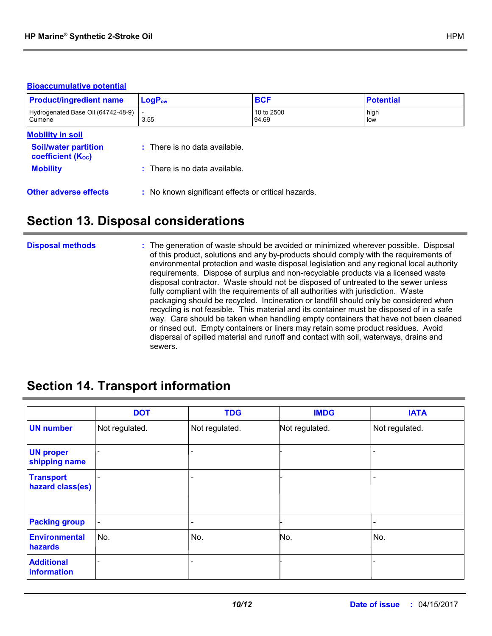### **Bioaccumulative potential**

| <b>Product/ingredient name</b>                          | $LogP_{ow}$                                         | <b>BCF</b>          | <b>Potential</b> |
|---------------------------------------------------------|-----------------------------------------------------|---------------------|------------------|
| Hydrogenated Base Oil (64742-48-9)<br>Cumene            | 3.55                                                | 10 to 2500<br>94.69 | high<br>low      |
| <b>Mobility in soil</b>                                 |                                                     |                     |                  |
| <b>Soil/water partition</b><br><b>coefficient (Koc)</b> | $:$ There is no data available.                     |                     |                  |
| <b>Mobility</b>                                         | : There is no data available.                       |                     |                  |
| <b>Other adverse effects</b>                            | : No known significant effects or critical hazards. |                     |                  |

## **Section 13. Disposal considerations**

#### The generation of waste should be avoided or minimized wherever possible. Disposal of this product, solutions and any by-products should comply with the requirements of environmental protection and waste disposal legislation and any regional local authority requirements. Dispose of surplus and non-recyclable products via a licensed waste disposal contractor. Waste should not be disposed of untreated to the sewer unless fully compliant with the requirements of all authorities with jurisdiction. Waste packaging should be recycled. Incineration or landfill should only be considered when recycling is not feasible. This material and its container must be disposed of in a safe way. Care should be taken when handling empty containers that have not been cleaned or rinsed out. Empty containers or liners may retain some product residues. Avoid dispersal of spilled material and runoff and contact with soil, waterways, drains and sewers. **Disposal methods :**

## **Section 14. Transport information**

|                                      | <b>DOT</b>     | <b>TDG</b>     | <b>IMDG</b>    | <b>IATA</b>    |
|--------------------------------------|----------------|----------------|----------------|----------------|
| <b>UN number</b>                     | Not regulated. | Not regulated. | Not regulated. | Not regulated. |
| <b>UN proper</b><br>shipping name    |                |                |                |                |
| <b>Transport</b><br>hazard class(es) |                |                |                |                |
| <b>Packing group</b>                 | $\blacksquare$ | ۰              |                | -              |
| <b>Environmental</b><br>hazards      | No.            | No.            | No.            | No.            |
| <b>Additional</b><br>information     |                |                |                |                |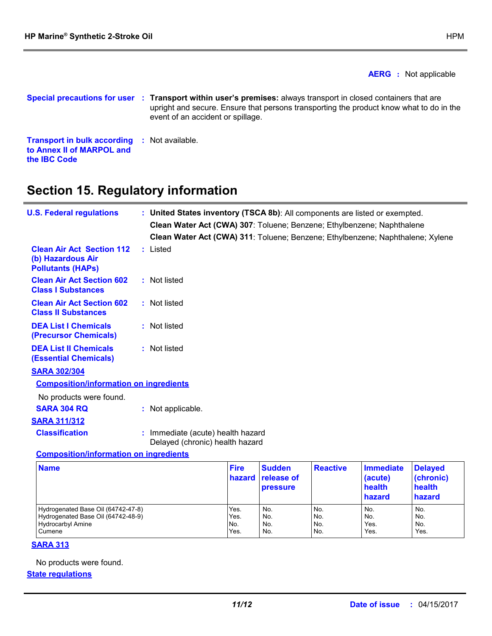**the IBC Code**

**AERG :** Not applicable

**Special precautions for user Transport within user's premises:** always transport in closed containers that are **: Transport in bulk according :** Not available. **to Annex II of MARPOL and**  upright and secure. Ensure that persons transporting the product know what to do in the event of an accident or spillage.

## **Section 15. Regulatory information**

| <b>U.S. Federal regulations</b>                                                   | : United States inventory (TSCA 8b): All components are listed or exempted.<br>Clean Water Act (CWA) 307: Toluene; Benzene; Ethylbenzene; Naphthalene<br>Clean Water Act (CWA) 311: Toluene; Benzene; Ethylbenzene; Naphthalene; Xylene |
|-----------------------------------------------------------------------------------|-----------------------------------------------------------------------------------------------------------------------------------------------------------------------------------------------------------------------------------------|
| <b>Clean Air Act Section 112</b><br>(b) Hazardous Air<br><b>Pollutants (HAPS)</b> | : Listed                                                                                                                                                                                                                                |
| <b>Clean Air Act Section 602</b><br><b>Class I Substances</b>                     | : Not listed                                                                                                                                                                                                                            |
| <b>Clean Air Act Section 602</b><br><b>Class II Substances</b>                    | : Not listed                                                                                                                                                                                                                            |
| <b>DEA List I Chemicals</b><br><b>(Precursor Chemicals)</b>                       | : Not listed                                                                                                                                                                                                                            |
| <b>DEA List II Chemicals</b><br><b>(Essential Chemicals)</b>                      | : Not listed                                                                                                                                                                                                                            |
| <b>SARA 302/304</b>                                                               |                                                                                                                                                                                                                                         |
| <b>Composition/information on ingredients</b>                                     |                                                                                                                                                                                                                                         |
| No products were found.                                                           |                                                                                                                                                                                                                                         |
| <b>SARA 304 RQ</b>                                                                | : Not applicable.                                                                                                                                                                                                                       |
| <b>SARA 311/312</b>                                                               |                                                                                                                                                                                                                                         |
| <b>Classification</b>                                                             | : Immediate (acute) health hazard<br>Delayed (chronic) health hazard                                                                                                                                                                    |
| <b>Composition/information on ingredients</b>                                     |                                                                                                                                                                                                                                         |

| <b>Name</b>                        | <b>Fire</b> | <b>Sudden</b><br><b>hazard</b> release of<br><b>pressure</b> | <b>Reactive</b> | <b>Immediate</b><br>(acute)<br>health<br>hazard | <b>Delayed</b><br>(chronic)<br>health<br>hazard |
|------------------------------------|-------------|--------------------------------------------------------------|-----------------|-------------------------------------------------|-------------------------------------------------|
| Hydrogenated Base Oil (64742-47-8) | Yes.        | No.                                                          | No.             | No.                                             | No.                                             |
| Hydrogenated Base Oil (64742-48-9) | Yes.        | No.                                                          | No.             | No.                                             | No.                                             |
| <b>Hydrocarbyl Amine</b>           | No.         | No.                                                          | No.             | Yes.                                            | No.                                             |
| Cumene                             | Yes.        | No.                                                          | No.             | Yes.                                            | Yes.                                            |

### **SARA 313**

No products were found.

### **State regulations**